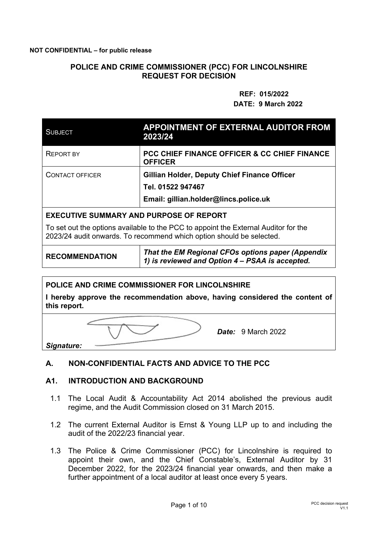### **POLICE AND CRIME COMMISSIONER (PCC) FOR LINCOLNSHIRE REQUEST FOR DECISION**

#### **REF: 015/2022 DATE: 9 March 2022**

| <b>SUBJECT</b>                                                                                                                                              | <b>APPOINTMENT OF EXTERNAL AUDITOR FROM</b><br>2023/24                    |  |  |  |
|-------------------------------------------------------------------------------------------------------------------------------------------------------------|---------------------------------------------------------------------------|--|--|--|
| <b>REPORT BY</b>                                                                                                                                            | <b>PCC CHIEF FINANCE OFFICER &amp; CC CHIEF FINANCE</b><br><b>OFFICER</b> |  |  |  |
| <b>CONTACT OFFICER</b>                                                                                                                                      | <b>Gillian Holder, Deputy Chief Finance Officer</b>                       |  |  |  |
|                                                                                                                                                             | Tel. 01522 947467                                                         |  |  |  |
|                                                                                                                                                             | Email: gillian.holder@lincs.police.uk                                     |  |  |  |
| <b>EXECUTIVE SUMMARY AND PURPOSE OF REPORT</b>                                                                                                              |                                                                           |  |  |  |
| To set out the options available to the PCC to appoint the External Auditor for the<br>2023/24 audit onwards. To recommend which option should be selected. |                                                                           |  |  |  |

**RECOMMENDATION** *That the EM Regional CFOs options paper (Appendix 1) is reviewed and Option 4 – PSAA is accepted.* 

#### **POLICE AND CRIME COMMISSIONER FOR LINCOLNSHIRE**

**I hereby approve the recommendation above, having considered the content of this report.** 

*Date:* 9 March 2022

*Signature:* 

#### **A. NON-CONFIDENTIAL FACTS AND ADVICE TO THE PCC**

### **A1. INTRODUCTION AND BACKGROUND**

- 1.1 The Local Audit & Accountability Act 2014 abolished the previous audit regime, and the Audit Commission closed on 31 March 2015.
- 1.2 The current External Auditor is Ernst & Young LLP up to and including the audit of the 2022/23 financial year.
- 1.3 The Police & Crime Commissioner (PCC) for Lincolnshire is required to appoint their own, and the Chief Constable's, External Auditor by 31 December 2022, for the 2023/24 financial year onwards, and then make a further appointment of a local auditor at least once every 5 years.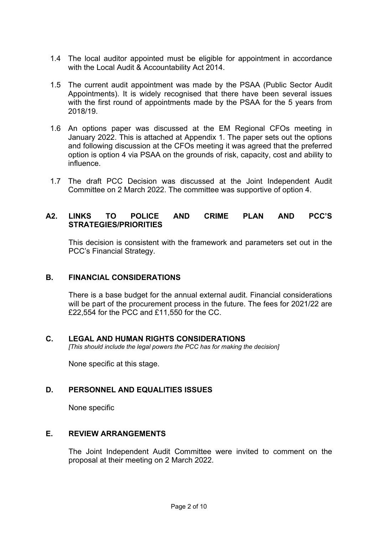- 1.4 The local auditor appointed must be eligible for appointment in accordance with the Local Audit & Accountability Act 2014.
- 1.5 The current audit appointment was made by the PSAA (Public Sector Audit Appointments). It is widely recognised that there have been several issues with the first round of appointments made by the PSAA for the 5 years from 2018/19.
- 1.6 An options paper was discussed at the EM Regional CFOs meeting in January 2022. This is attached at Appendix 1. The paper sets out the options and following discussion at the CFOs meeting it was agreed that the preferred option is option 4 via PSAA on the grounds of risk, capacity, cost and ability to influence.
- 1.7 The draft PCC Decision was discussed at the Joint Independent Audit Committee on 2 March 2022. The committee was supportive of option 4.

### **A2. LINKS TO POLICE AND CRIME PLAN AND PCC'S STRATEGIES/PRIORITIES**

 This decision is consistent with the framework and parameters set out in the PCC's Financial Strategy.

#### **B. FINANCIAL CONSIDERATIONS**

There is a base budget for the annual external audit. Financial considerations will be part of the procurement process in the future. The fees for 2021/22 are £22,554 for the PCC and £11,550 for the CC.

#### **C. LEGAL AND HUMAN RIGHTS CONSIDERATIONS**

*[This should include the legal powers the PCC has for making the decision]*

None specific at this stage.

#### **D. PERSONNEL AND EQUALITIES ISSUES**

None specific

#### **E. REVIEW ARRANGEMENTS**

The Joint Independent Audit Committee were invited to comment on the proposal at their meeting on 2 March 2022.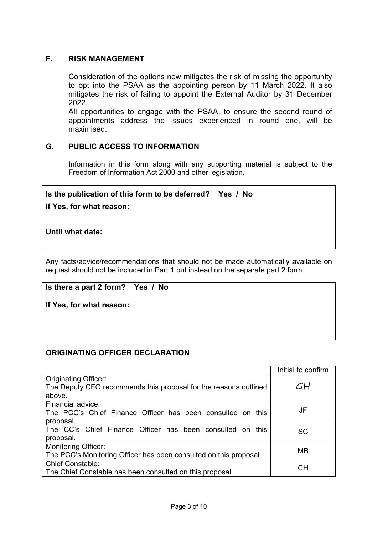### **F. RISK MANAGEMENT**

Consideration of the options now mitigates the risk of missing the opportunity to opt into the PSAA as the appointing person by 11 March 2022. It also mitigates the risk of failing to appoint the External Auditor by 31 December 2022.

All opportunities to engage with the PSAA, to ensure the second round of appointments address the issues experienced in round one, will be maximised.

### **G. PUBLIC ACCESS TO INFORMATION**

Information in this form along with any supporting material is subject to the Freedom of Information Act 2000 and other legislation.

### **Is the publication of this form to be deferred? Yes / No**

**If Yes, for what reason:** 

**Until what date:** 

Any facts/advice/recommendations that should not be made automatically available on request should not be included in Part 1 but instead on the separate part 2 form.

**Is there a part 2 form? Yes / No** 

**If Yes, for what reason:** 

#### **ORIGINATING OFFICER DECLARATION**

|                                                                  | Initial to confirm |
|------------------------------------------------------------------|--------------------|
| <b>Originating Officer:</b>                                      |                    |
| The Deputy CFO recommends this proposal for the reasons outlined | GH                 |
| above.                                                           |                    |
| Financial advice:                                                |                    |
| The PCC's Chief Finance Officer has been consulted on this       | JF                 |
| proposal.                                                        |                    |
| The CC's Chief Finance Officer has been consulted on this        | <b>SC</b>          |
| proposal.                                                        |                    |
| <b>Monitoring Officer:</b>                                       | <b>MB</b>          |
| The PCC's Monitoring Officer has been consulted on this proposal |                    |
| <b>Chief Constable:</b>                                          | CН                 |
| The Chief Constable has been consulted on this proposal          |                    |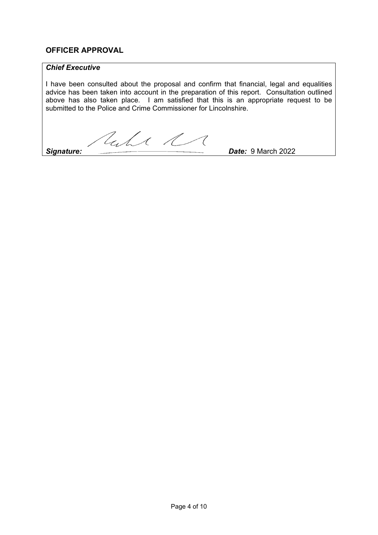### **OFFICER APPROVAL**

### *Chief Executive*

I have been consulted about the proposal and confirm that financial, legal and equalities advice has been taken into account in the preparation of this report. Consultation outlined above has also taken place. I am satisfied that this is an appropriate request to be submitted to the Police and Crime Commissioner for Lincolnshire.

Cale R

**Signature:** 2022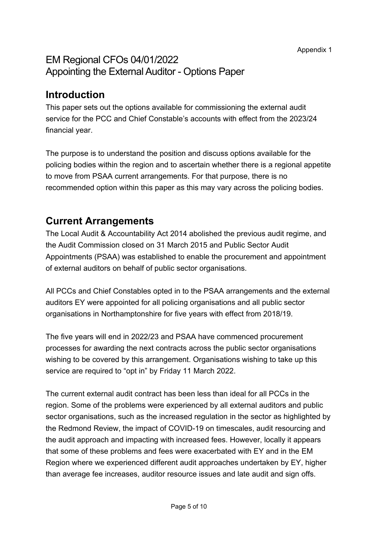## EM Regional CFOs 04/01/2022 Appointing the External Auditor - Options Paper

## **Introduction**

This paper sets out the options available for commissioning the external audit service for the PCC and Chief Constable's accounts with effect from the 2023/24 financial year.

The purpose is to understand the position and discuss options available for the policing bodies within the region and to ascertain whether there is a regional appetite to move from PSAA current arrangements. For that purpose, there is no recommended option within this paper as this may vary across the policing bodies.

## **Current Arrangements**

The Local Audit & Accountability Act 2014 abolished the previous audit regime, and the Audit Commission closed on 31 March 2015 and Public Sector Audit Appointments (PSAA) was established to enable the procurement and appointment of external auditors on behalf of public sector organisations.

All PCCs and Chief Constables opted in to the PSAA arrangements and the external auditors EY were appointed for all policing organisations and all public sector organisations in Northamptonshire for five years with effect from 2018/19.

The five years will end in 2022/23 and PSAA have commenced procurement processes for awarding the next contracts across the public sector organisations wishing to be covered by this arrangement. Organisations wishing to take up this service are required to "opt in" by Friday 11 March 2022.

The current external audit contract has been less than ideal for all PCCs in the region. Some of the problems were experienced by all external auditors and public sector organisations, such as the increased regulation in the sector as highlighted by the Redmond Review, the impact of COVID-19 on timescales, audit resourcing and the audit approach and impacting with increased fees. However, locally it appears that some of these problems and fees were exacerbated with EY and in the EM Region where we experienced different audit approaches undertaken by EY, higher than average fee increases, auditor resource issues and late audit and sign offs.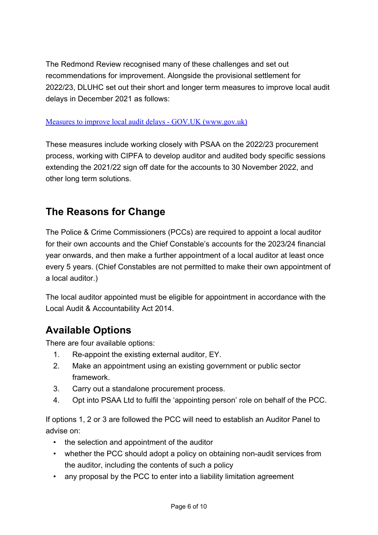The Redmond Review recognised many of these challenges and set out recommendations for improvement. Alongside the provisional settlement for 2022/23, DLUHC set out their short and longer term measures to improve local audit delays in December 2021 as follows:

### Measures to improve local audit delays - GOV.UK (www.gov.uk)

These measures include working closely with PSAA on the 2022/23 procurement process, working with CIPFA to develop auditor and audited body specific sessions extending the 2021/22 sign off date for the accounts to 30 November 2022, and other long term solutions.

## **The Reasons for Change**

The Police & Crime Commissioners (PCCs) are required to appoint a local auditor for their own accounts and the Chief Constable's accounts for the 2023/24 financial year onwards, and then make a further appointment of a local auditor at least once every 5 years. (Chief Constables are not permitted to make their own appointment of a local auditor.)

The local auditor appointed must be eligible for appointment in accordance with the Local Audit & Accountability Act 2014.

## **Available Options**

There are four available options:

- 1. Re-appoint the existing external auditor, EY.
- 2. Make an appointment using an existing government or public sector framework.
- 3. Carry out a standalone procurement process.
- 4. Opt into PSAA Ltd to fulfil the 'appointing person' role on behalf of the PCC.

If options 1, 2 or 3 are followed the PCC will need to establish an Auditor Panel to advise on:

- the selection and appointment of the auditor
- whether the PCC should adopt a policy on obtaining non-audit services from the auditor, including the contents of such a policy
- any proposal by the PCC to enter into a liability limitation agreement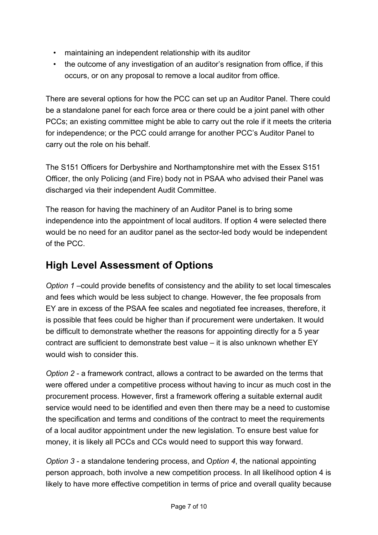- maintaining an independent relationship with its auditor
- the outcome of any investigation of an auditor's resignation from office, if this occurs, or on any proposal to remove a local auditor from office.

There are several options for how the PCC can set up an Auditor Panel. There could be a standalone panel for each force area or there could be a joint panel with other PCCs; an existing committee might be able to carry out the role if it meets the criteria for independence; or the PCC could arrange for another PCC's Auditor Panel to carry out the role on his behalf.

The S151 Officers for Derbyshire and Northamptonshire met with the Essex S151 Officer, the only Policing (and Fire) body not in PSAA who advised their Panel was discharged via their independent Audit Committee.

The reason for having the machinery of an Auditor Panel is to bring some independence into the appointment of local auditors. If option 4 were selected there would be no need for an auditor panel as the sector-led body would be independent of the PCC.

# **High Level Assessment of Options**

*Option 1* –could provide benefits of consistency and the ability to set local timescales and fees which would be less subject to change. However, the fee proposals from EY are in excess of the PSAA fee scales and negotiated fee increases, therefore, it is possible that fees could be higher than if procurement were undertaken. It would be difficult to demonstrate whether the reasons for appointing directly for a 5 year contract are sufficient to demonstrate best value – it is also unknown whether EY would wish to consider this.

*Option 2* - a framework contract, allows a contract to be awarded on the terms that were offered under a competitive process without having to incur as much cost in the procurement process. However, first a framework offering a suitable external audit service would need to be identified and even then there may be a need to customise the specification and terms and conditions of the contract to meet the requirements of a local auditor appointment under the new legislation. To ensure best value for money, it is likely all PCCs and CCs would need to support this way forward.

*Option 3* - a standalone tendering process, and O*ption 4*, the national appointing person approach, both involve a new competition process. In all likelihood option 4 is likely to have more effective competition in terms of price and overall quality because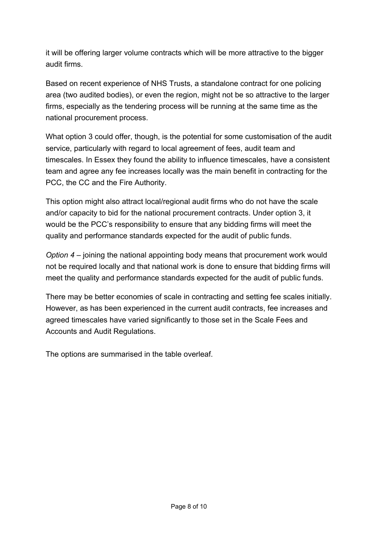it will be offering larger volume contracts which will be more attractive to the bigger audit firms.

Based on recent experience of NHS Trusts, a standalone contract for one policing area (two audited bodies), or even the region, might not be so attractive to the larger firms, especially as the tendering process will be running at the same time as the national procurement process.

What option 3 could offer, though, is the potential for some customisation of the audit service, particularly with regard to local agreement of fees, audit team and timescales. In Essex they found the ability to influence timescales, have a consistent team and agree any fee increases locally was the main benefit in contracting for the PCC, the CC and the Fire Authority.

This option might also attract local/regional audit firms who do not have the scale and/or capacity to bid for the national procurement contracts. Under option 3, it would be the PCC's responsibility to ensure that any bidding firms will meet the quality and performance standards expected for the audit of public funds.

*Option 4* – joining the national appointing body means that procurement work would not be required locally and that national work is done to ensure that bidding firms will meet the quality and performance standards expected for the audit of public funds.

There may be better economies of scale in contracting and setting fee scales initially. However, as has been experienced in the current audit contracts, fee increases and agreed timescales have varied significantly to those set in the Scale Fees and Accounts and Audit Regulations.

The options are summarised in the table overleaf.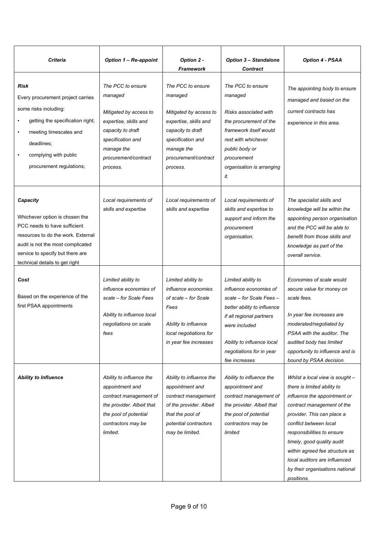| <b>Criteria</b>                                                                                                                                                                                                                                   | <b>Option 1 - Re-appoint</b>                                                                                                                                                | Option 2 -<br><b>Framework</b>                                                                                                                                              | <b>Option 3 - Standalone</b><br><b>Contract</b>                                                                                                                                                                                 | <b>Option 4 - PSAA</b>                                                                                                                                                                                                                                                                                                                                               |
|---------------------------------------------------------------------------------------------------------------------------------------------------------------------------------------------------------------------------------------------------|-----------------------------------------------------------------------------------------------------------------------------------------------------------------------------|-----------------------------------------------------------------------------------------------------------------------------------------------------------------------------|---------------------------------------------------------------------------------------------------------------------------------------------------------------------------------------------------------------------------------|----------------------------------------------------------------------------------------------------------------------------------------------------------------------------------------------------------------------------------------------------------------------------------------------------------------------------------------------------------------------|
| <b>Risk</b><br>Every procurement project carries<br>some risks including:<br>getting the specification right;<br>$\bullet$<br>$\bullet$<br>meeting timescales and<br>deadlines;<br>complying with public<br>$\bullet$<br>procurement regulations; | The PCC to ensure<br>managed<br>Mitigated by access to<br>expertise, skills and<br>capacity to draft<br>specification and<br>manage the<br>procurement/contract<br>process. | The PCC to ensure<br>managed<br>Mitigated by access to<br>expertise, skills and<br>capacity to draft<br>specification and<br>manage the<br>procurement/contract<br>process. | The PCC to ensure<br>managed<br>Risks associated with<br>the procurement of the<br>framework itself would<br>rest with whichever<br>public body or<br>procurement<br>organisation is arranging<br>it.                           | The appointing body to ensure<br>managed and based on the<br>current contracts has<br>experience in this area.                                                                                                                                                                                                                                                       |
| Capacity<br>Whichever option is chosen the<br>PCC needs to have sufficient<br>resources to do the work. External<br>audit is not the most complicated<br>service to specify but there are<br>technical details to get right                       | Local requirements of<br>skills and expertise                                                                                                                               | Local requirements of<br>skills and expertise                                                                                                                               | Local requirements of<br>skills and expertise to<br>support and inform the<br>procurement<br>organisation.                                                                                                                      | The specialist skills and<br>knowledge will be within the<br>appointing person organisation<br>and the PCC will be able to<br>benefit from those skills and<br>knowledge as part of the<br>overall service.                                                                                                                                                          |
| Cost<br>Based on the experience of the<br>first PSAA appointments                                                                                                                                                                                 | Limited ability to<br>influence economies of<br>scale – for Scale Fees<br>Ability to influence local<br>negotiations on scale<br>fees                                       | Limited ability to<br><i>influence economies</i><br>of scale – for Scale<br>Fees<br>Ability to influence<br>local negotiations for<br>in year fee increases                 | Limited ability to<br>influence economies of<br>scale - for Scale Fees -<br>better ability to influence<br>if all regional partners<br>were included<br>Ability to influence local<br>negotiations for in year<br>fee increases | Economies of scale would<br>secure value for money on<br>scale fees.<br>In year fee increases are<br>moderated/negotiated by<br>PSAA with the auditor. The<br>audited body has limited<br>opportunity to influence and is<br>bound by PSAA decision.                                                                                                                 |
| <b>Ability to Influence</b>                                                                                                                                                                                                                       | Ability to influence the<br>appointment and<br>contract management of<br>the provider. Albeit that<br>the pool of potential<br>contractors may be<br>limited.               | Ability to influence the<br>appointment and<br>contract management<br>of the provider. Albeit<br>that the pool of<br>potential contractors<br>may be limited.               | Ability to influence the<br>appointment and<br>contract management of<br>the provider. Albeit that<br>the pool of potential<br>contractors may be<br>limited                                                                    | Whilst a local view is sought -<br>there is limited ability to<br>influence the appointment or<br>contract management of the<br>provider. This can place a<br>conflict between local<br>responsibilities to ensure<br>timely, good quality audit<br>within agreed fee structure as<br>local auditors are influenced<br>by their organisations national<br>positions. |